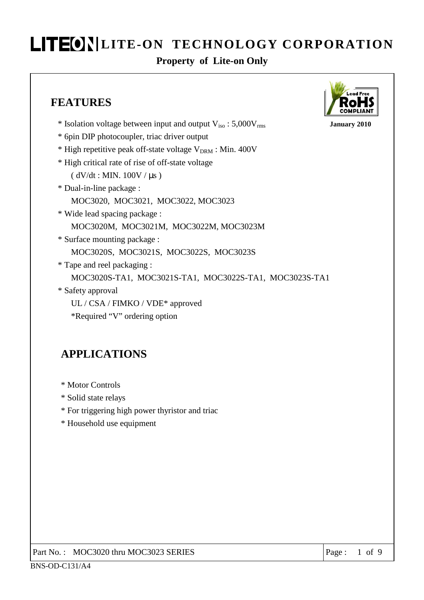#### **Property of Lite-on Only**

### **FEATURES**

- \* Isolation voltage between input and output Viso : 5,000Vrms **January 2010**
- \* 6pin DIP photocoupler, triac driver output
- \* High repetitive peak off-state voltage  $V_{DRM}$  : Min. 400V
- \* High critical rate of rise of off-state voltage
	- $(dV/dt : MIN. 100V / \mu s)$
- \* Dual-in-line package :
	- MOC3020, MOC3021, MOC3022, MOC3023
- \* Wide lead spacing package : MOC3020M, MOC3021M, MOC3022M, MOC3023M
- \* Surface mounting package : MOC3020S, MOC3021S, MOC3022S, MOC3023S
- \* Tape and reel packaging : MOC3020S-TA1, MOC3021S-TA1, MOC3022S-TA1, MOC3023S-TA1 \* Safety approval
	- UL / CSA / FIMKO / VDE\* approved
	- \*Required "V" ordering option

### **APPLICATIONS**

- \* Motor Controls
- \* Solid state relays
- \* For triggering high power thyristor and triac
- \* Household use equipment

Part No.: MOC3020 thru MOC3023 SERIES | Page : 1 of 9

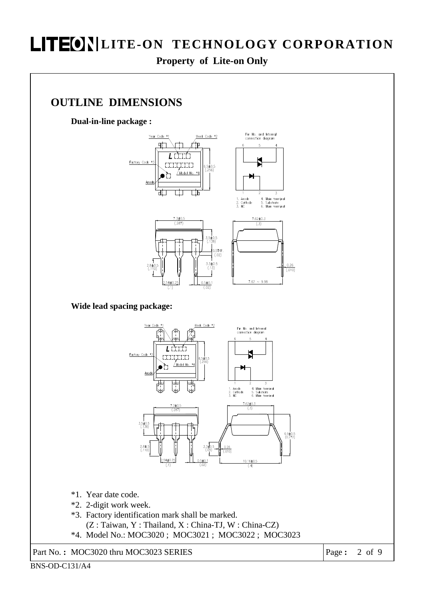**Property of Lite-on Only** 

#### **OUTLINE DIMENSIONS**

**Dual-in-line package :** 



**Wide lead spacing package:** 



- \*1. Year date code.
- \*2. 2-digit work week.
- \*3. Factory identification mark shall be marked. (Z : Taiwan, Y : Thailand, X : China-TJ, W : China-CZ)
- \*4. Model No.: MOC3020 ; MOC3021 ; MOC3022 ; MOC3023

Part No. **:** MOC3020 thru MOC3023 SERIES Page **:** 2 of 9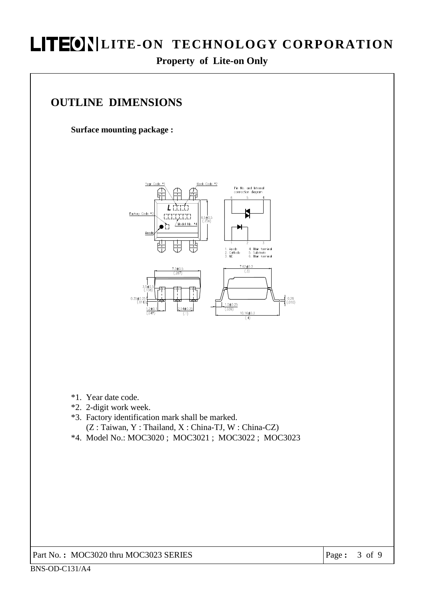#### **Property of Lite-on Only**

### **OUTLINE DIMENSIONS**

**Surface mounting package :** 



- \*1. Year date code.
- \*2. 2-digit work week.
- \*3. Factory identification mark shall be marked. (Z : Taiwan, Y : Thailand, X : China-TJ, W : China-CZ)
- \*4. Model No.: MOC3020 ; MOC3021 ; MOC3022 ; MOC3023

Part No. **:** MOC3020 thru MOC3023 SERIES Page **:** 3 of 9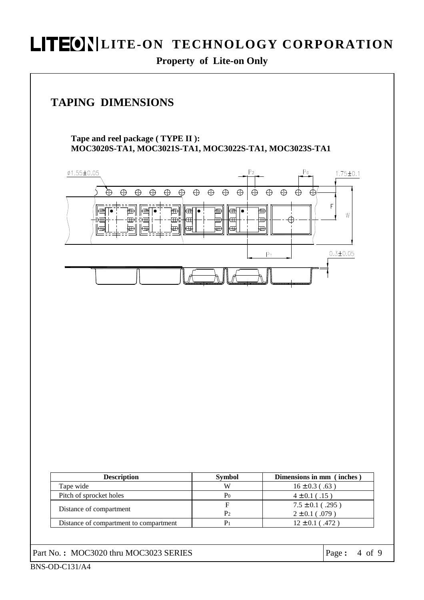**Property of Lite-on Only** 

### **TAPING DIMENSIONS**

**Tape and reel package ( TYPE II ): MOC3020S-TA1, MOC3021S-TA1, MOC3022S-TA1, MOC3023S-TA1** 

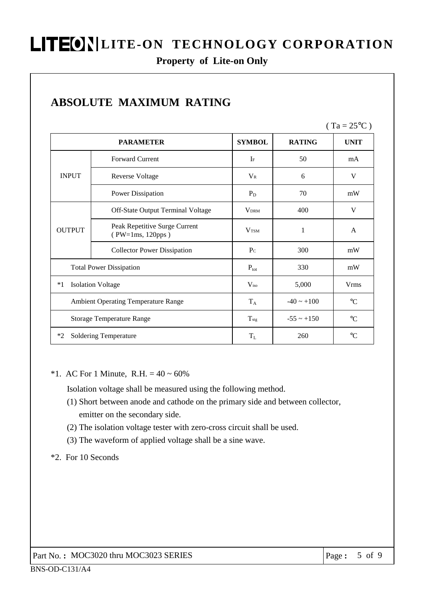#### **Property of Lite-on Only**

|                                  |                                                   |                         |                                                                                  | $(Ta = 25^{\circ}C)$ |
|----------------------------------|---------------------------------------------------|-------------------------|----------------------------------------------------------------------------------|----------------------|
|                                  | <b>PARAMETER</b>                                  | <b>SYMBOL</b>           | <b>RATING</b>                                                                    | <b>UNIT</b>          |
|                                  | <b>Forward Current</b>                            | $\rm I$ F               | 50                                                                               | mA                   |
| <b>INPUT</b>                     | <b>Reverse Voltage</b>                            | $V_{R}$                 | 6<br>70<br>400<br>1<br>300<br>330<br>5,000<br>$-40 \sim +100$<br>$-55 \sim +150$ | V                    |
|                                  | Power Dissipation                                 | $P_D$                   |                                                                                  | mW                   |
| <b>OUTPUT</b>                    | Off-State Output Terminal Voltage                 | <b>VDRM</b>             |                                                                                  | V                    |
|                                  | Peak Repetitive Surge Current<br>(PW=1ms, 120pps) | <b>V</b> <sub>TSM</sub> |                                                                                  | A                    |
|                                  | <b>Collector Power Dissipation</b>                | $P_{C}$                 |                                                                                  | mW                   |
| <b>Total Power Dissipation</b>   |                                                   | $P_{\text{tot}}$        |                                                                                  | mW                   |
| <b>Isolation Voltage</b><br>$*1$ |                                                   | $V_{iso}$               |                                                                                  | <b>Vrms</b>          |
|                                  | <b>Ambient Operating Temperature Range</b>        | $T_A$                   |                                                                                  | $\rm ^{\circ}C$      |
|                                  | <b>Storage Temperature Range</b>                  | $T_{\text{stg}}$        |                                                                                  |                      |
| $*2$                             | <b>Soldering Temperature</b>                      | $T_{L}$                 | 260                                                                              | $\rm ^{\circ}C$      |

## **AFFURE MAINTEENT CONTRACT**

#### \*1. AC For 1 Minute, R.H. =  $40 \sim 60\%$

Isolation voltage shall be measured using the following method.

- (1) Short between anode and cathode on the primary side and between collector, emitter on the secondary side.
- (2) The isolation voltage tester with zero-cross circuit shall be used.
- (3) The waveform of applied voltage shall be a sine wave.

#### \*2. For 10 Seconds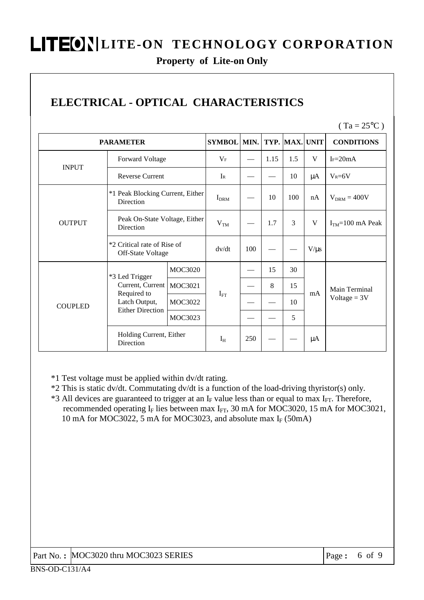#### **Property of Lite-on Only**

## **ELECTRICAL - OPTICAL CHARACTERISTICS**

 $(Ta = 25^{\circ}C)$ 

| <b>PARAMETER</b> |                                                                                               |                | <b>SYMBOL</b>    | MIN. |      |     | TYP. MAX. UNIT | <b>CONDITIONS</b>               |
|------------------|-----------------------------------------------------------------------------------------------|----------------|------------------|------|------|-----|----------------|---------------------------------|
|                  | <b>Forward Voltage</b>                                                                        |                | $V_{\rm F}$      |      | 1.15 | 1.5 | V              | $I_F=20mA$                      |
| <b>INPUT</b>     | <b>Reverse Current</b>                                                                        |                | $I_{R}$          |      |      | 10  | μA             | $V_R = 6V$                      |
|                  | *1 Peak Blocking Current, Either<br>Direction                                                 |                | I <sub>DRM</sub> |      | 10   | 100 | nA             | $V_{DRM} = 400V$                |
| <b>OUTPUT</b>    | Peak On-State Voltage, Either<br>Direction                                                    |                | V <sub>TM</sub>  |      | 1.7  | 3   | V              | $ITM=100$ mA Peak               |
|                  | *2 Critical rate of Rise of<br>Off-State Voltage                                              |                | dv/dt            | 100  |      |     | $V/\mu s$      |                                 |
|                  | *3 Led Trigger<br>Current, Current<br>Required to<br>Latch Output,<br><b>Either Direction</b> | <b>MOC3020</b> | $I_{FT}$         |      | 15   | 30  | mA             | Main Terminal<br>$Voltage = 3V$ |
|                  |                                                                                               | MOC3021        |                  |      | 8    | 15  |                |                                 |
| <b>COUPLED</b>   |                                                                                               | MOC3022        |                  |      |      | 10  |                |                                 |
|                  |                                                                                               | MOC3023        |                  |      |      | 5   |                |                                 |
|                  | Holding Current, Either<br>Direction                                                          |                | $I_{H}$          | 250  |      |     | μA             |                                 |

\*1 Test voltage must be applied within dv/dt rating.

\*2 This is static dv/dt. Commutating dv/dt is a function of the load-driving thyristor(s) only.

 $*3$  All devices are guaranteed to trigger at an I<sub>F</sub> value less than or equal to max I<sub>FT</sub>. Therefore, recommended operating  $I_F$  lies between max  $I_{FT}$ , 30 mA for MOC3020, 15 mA for MOC3021, 10 mA for MOC3022, 5 mA for MOC3023, and absolute max  $I_F$  (50mA)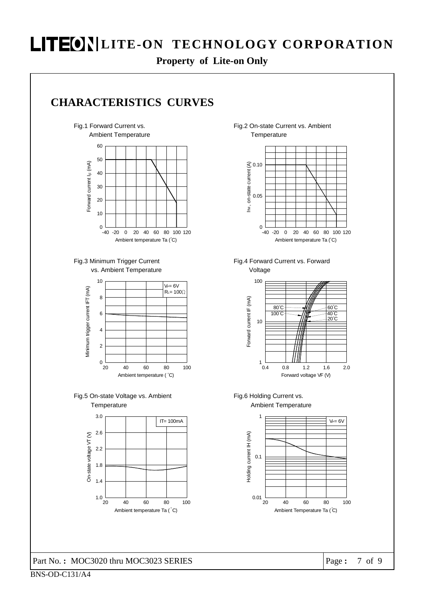**Property of Lite-on Only** 



60 Ambient Temperature



Fig.3 Minimum Trigger Current vs. Ambient Temperature











Fig.4 Forward Current vs. Forward Voltage



Ambient Temperature Fig.6 Holding Current vs.



Part No. **:** MOC3020 thru MOC3023 SERIES Page **:** 7 of 9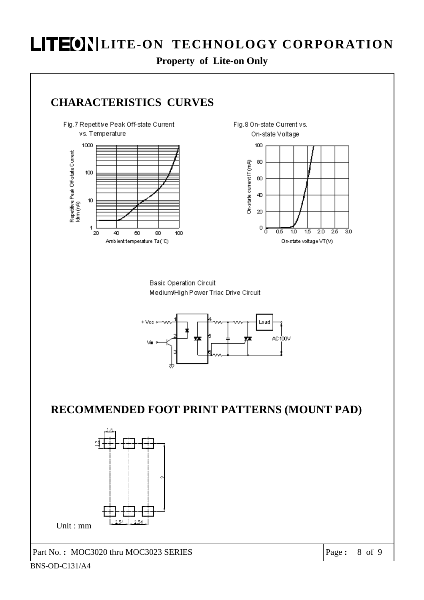**Property of Lite-on Only** 

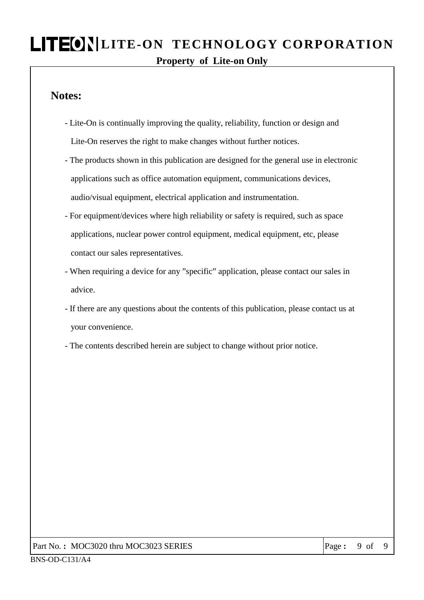## **LITEON LITE-ON TECHNOLOGY CORPORATION Property of Lite-on Only**

#### **Notes:**

- Lite-On is continually improving the quality, reliability, function or design and Lite-On reserves the right to make changes without further notices.
- The products shown in this publication are designed for the general use in electronic applications such as office automation equipment, communications devices, audio/visual equipment, electrical application and instrumentation.
- For equipment/devices where high reliability or safety is required, such as space applications, nuclear power control equipment, medical equipment, etc, please contact our sales representatives.
- When requiring a device for any "specific" application, please contact our sales in advice.
- If there are any questions about the contents of this publication, please contact us at your convenience.
- The contents described herein are subject to change without prior notice.